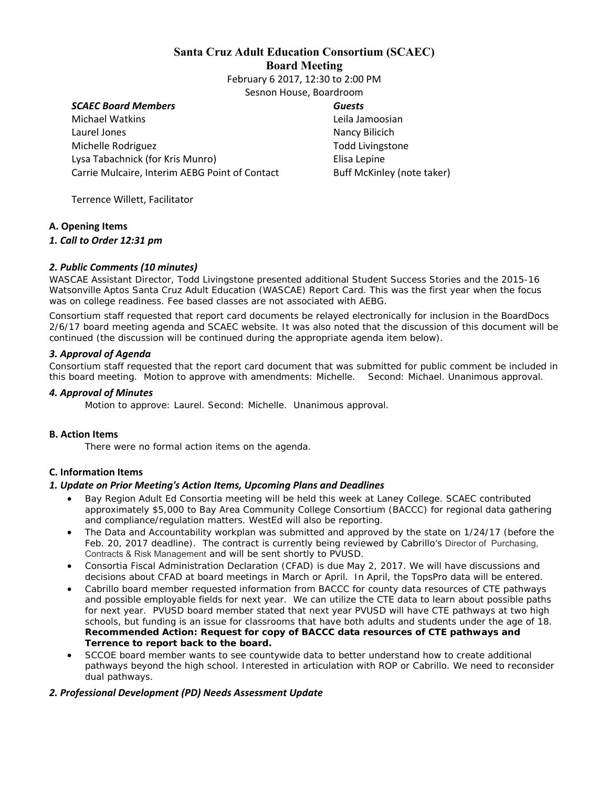# **Santa Cruz Adult Education Consortium (SCAEC) Board Meeting**

February 6 2017, 12:30 to 2:00 PM Sesnon House, Boardroom

## *SCAEC Board Members*

Michael Watkins Laurel Jones Michelle Rodriguez Lysa Tabachnick (for Kris Munro) Carrie Mulcaire, Interim AEBG Point of Contact *Guests*  Leila Jamoosian Nancy Bilicich Todd Livingstone Elisa Lepine Buff McKinley (note taker)

Terrence Willett, Facilitator

#### **A. Opening Items**

#### *1. Call to Order 12:31 pm*

# *2. Public Comments (10 minutes)*

WASCAE Assistant Director, Todd Livingstone presented additional Student Success Stories and the 2015-16 Watsonville Aptos Santa Cruz Adult Education (WASCAE) Report Card. This was the first year when the focus was on college readiness. Fee based classes are not associated with AEBG.

Consortium staff requested that report card documents be relayed electronically for inclusion in the BoardDocs 2/6/17 board meeting agenda and SCAEC website. It was also noted that the discussion of this document will be continued (the discussion will be continued during the appropriate agenda item below).

## *3. Approval of Agenda*

Consortium staff requested that the report card document that was submitted for public comment be included in this board meeting. *Motion to approve with amendments: Michelle. Second: Michael. Unanimous approval.*

#### *4. Approval of Minutes*

*Motion to approve: Laurel. Second: Michelle. Unanimous approval.* 

#### **B. Action Items**

*There were no formal action items on the agenda.* 

# **C. Information Items**

#### *1. Update on Prior Meeting's Action Items, Upcoming Plans and Deadlines*

- Bay Region Adult Ed Consortia meeting will be held this week at Laney College. SCAEC contributed approximately \$5,000 to Bay Area Community College Consortium (BACCC) for regional data gathering and compliance/regulation matters. WestEd will also be reporting.
- The Data and Accountability workplan was submitted and approved by the state on 1/24/17 (before the Feb. 20, 2017 deadline). The contract is currently being reviewed by Cabrillo's Director of Purchasing, Contracts & Risk Management and will be sent shortly to PVUSD.
- Consortia Fiscal Administration Declaration (CFAD) is due May 2, 2017. We will have discussions and decisions about CFAD at board meetings in March or April.In April, the TopsPro data will be entered.
- Cabrillo board member requested information from BACCC for county data resources of CTE pathways and possible employable fields for next year. We can utilize the CTE data to learn about possible paths for next year. PVUSD board member stated that next year PVUSD will have CTE pathways at two high schools, but funding is an issue for classrooms that have both adults and students under the age of 18. **Recommended Action: Request for copy of BACCC data resources of CTE pathways and Terrence to report back to the board.**
- SCCOE board member wants to see countywide data to better understand how to create additional pathways beyond the high school. Interested in articulation with ROP or Cabrillo. We need to reconsider dual pathways.

# *2. Professional Development (PD) Needs Assessment Update*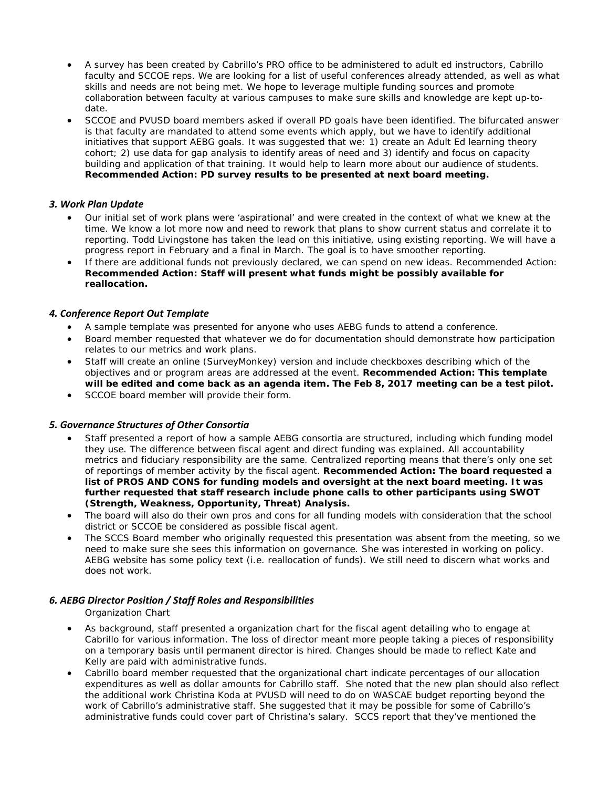- A survey has been created by Cabrillo's PRO office to be administered to adult ed instructors, Cabrillo faculty and SCCOE reps. We are looking for a list of useful conferences already attended, as well as what skills and needs are not being met. We hope to leverage multiple funding sources and promote collaboration between faculty at various campuses to make sure skills and knowledge are kept up-todate.
- SCCOE and PVUSD board members asked if overall PD goals have been identified. The bifurcated answer is that faculty are mandated to attend some events which apply, but we have to identify additional initiatives that support AEBG goals. It was suggested that we: 1) create an Adult Ed learning theory cohort; 2) use data for gap analysis to identify areas of need and 3) identify and focus on capacity building and application of that training. It would help to learn more about our audience of students. **Recommended Action: PD survey results to be presented at next board meeting.**

# *3. Work Plan Update*

- Our initial set of work plans were 'aspirational' and were created in the context of what we knew at the time. We know a lot more now and need to rework that plans to show current status and correlate it to reporting. Todd Livingstone has taken the lead on this initiative, using existing reporting. We will have a progress report in February and a final in March. The goal is to have smoother reporting.
- If there are additional funds not previously declared, we can spend on new ideas. Recommended Action: **Recommended Action: Staff will present what funds might be possibly available for reallocation.**

#### *4. Conference Report Out Template*

- A sample template was presented for anyone who uses AEBG funds to attend a conference.
- Board member requested that whatever we do for documentation should demonstrate how participation relates to our metrics and work plans.
- Staff will create an online (SurveyMonkey) version and include checkboxes describing which of the objectives and or program areas are addressed at the event. **Recommended Action: This template will be edited and come back as an agenda item. The Feb 8, 2017 meeting can be a test pilot.**
- **SCCOE board member will provide their form.**

# *5. Governance Structures of Other Consortia*

- Staff presented a report of how a sample AEBG consortia are structured, including which funding model they use. The difference between fiscal agent and direct funding was explained. All accountability metrics and fiduciary responsibility are the same. Centralized reporting means that there's only one set of reportings of member activity by the fiscal agent. **Recommended Action: The board requested a list of PROS AND CONS for funding models and oversight at the next board meeting. It was further requested that staff research include phone calls to other participants using SWOT (Strength, Weakness, Opportunity, Threat) Analysis.**
- The board will also do their own pros and cons for all funding models with consideration that the school district or SCCOE be considered as possible fiscal agent.
- The SCCS Board member who originally requested this presentation was absent from the meeting, so we need to make sure she sees this information on governance. She was interested in working on policy. AEBG website has some policy text (i.e. reallocation of funds). We still need to discern what works and does not work.

# *6. AEBG Director Position / Staff Roles and Responsibilities*

*Organization Chart*

- As background, staff presented a organization chart for the fiscal agent detailing who to engage at Cabrillo for various information. The loss of director meant more people taking a pieces of responsibility on a temporary basis until permanent director is hired. Changes should be made to reflect Kate and Kelly are paid with administrative funds.
- Cabrillo board member requested that the organizational chart indicate percentages of our allocation expenditures as well as dollar amounts for Cabrillo staff. She noted that the new plan should also reflect the additional work Christina Koda at PVUSD will need to do on WASCAE budget reporting beyond the work of Cabrillo's administrative staff. She suggested that it may be possible for some of Cabrillo's administrative funds could cover part of Christina's salary. SCCS report that they've mentioned the